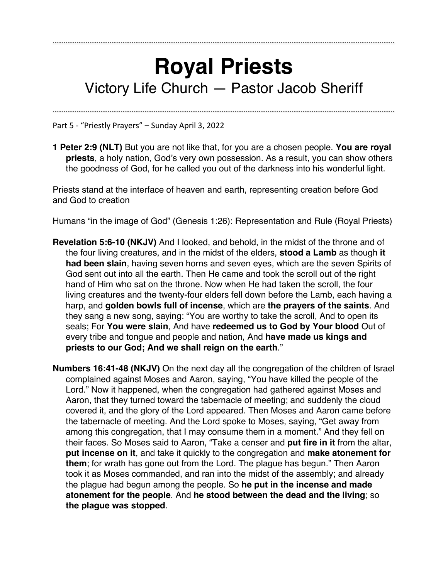## **Royal Priests** Victory Life Church — Pastor Jacob Sheriff

Part 5 - "Priestly Prayers" – Sunday April 3, 2022

**1 Peter 2:9 (NLT)** But you are not like that, for you are a chosen people. **You are royal priests**, a holy nation, God's very own possession. As a result, you can show others the goodness of God, for he called you out of the darkness into his wonderful light.

Priests stand at the interface of heaven and earth, representing creation before God and God to creation

Humans "in the image of God" (Genesis 1:26): Representation and Rule (Royal Priests)

- **Revelation 5:6-10 (NKJV)** And I looked, and behold, in the midst of the throne and of the four living creatures, and in the midst of the elders, **stood a Lamb** as though **it had been slain**, having seven horns and seven eyes, which are the seven Spirits of God sent out into all the earth. Then He came and took the scroll out of the right hand of Him who sat on the throne. Now when He had taken the scroll, the four living creatures and the twenty-four elders fell down before the Lamb, each having a harp, and **golden bowls full of incense**, which are **the prayers of the saints**. And they sang a new song, saying: "You are worthy to take the scroll, And to open its seals; For **You were slain**, And have **redeemed us to God by Your blood** Out of every tribe and tongue and people and nation, And **have made us kings and priests to our God; And we shall reign on the earth**."
- **Numbers 16:41-48 (NKJV)** On the next day all the congregation of the children of Israel complained against Moses and Aaron, saying, "You have killed the people of the Lord." Now it happened, when the congregation had gathered against Moses and Aaron, that they turned toward the tabernacle of meeting; and suddenly the cloud covered it, and the glory of the Lord appeared. Then Moses and Aaron came before the tabernacle of meeting. And the Lord spoke to Moses, saying, "Get away from among this congregation, that I may consume them in a moment." And they fell on their faces. So Moses said to Aaron, "Take a censer and **put fire in it** from the altar, **put incense on it**, and take it quickly to the congregation and **make atonement for them**; for wrath has gone out from the Lord. The plague has begun." Then Aaron took it as Moses commanded, and ran into the midst of the assembly; and already the plague had begun among the people. So **he put in the incense and made atonement for the people**. And **he stood between the dead and the living**; so **the plague was stopped**.